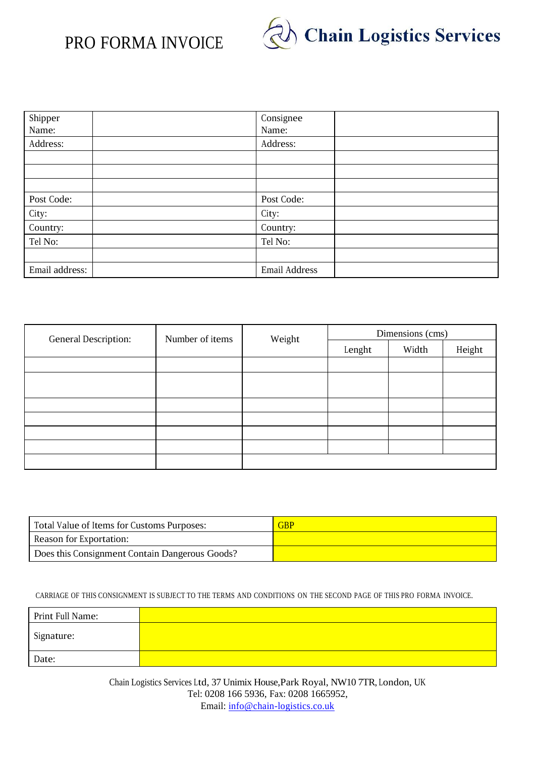## PRO FORMA INVOICE



| Shipper        | Consignee     |
|----------------|---------------|
| Name:          | Name:         |
| Address:       | Address:      |
|                |               |
|                |               |
|                |               |
| Post Code:     | Post Code:    |
| City:          | City:         |
| Country:       | Country:      |
| Tel No:        | Tel No:       |
|                |               |
| Email address: | Email Address |

| General Description: | Number of items | Weight | Dimensions (cms) |       |        |
|----------------------|-----------------|--------|------------------|-------|--------|
|                      |                 |        | Lenght           | Width | Height |
|                      |                 |        |                  |       |        |
|                      |                 |        |                  |       |        |
|                      |                 |        |                  |       |        |
|                      |                 |        |                  |       |        |
|                      |                 |        |                  |       |        |
|                      |                 |        |                  |       |        |
|                      |                 |        |                  |       |        |
|                      |                 |        |                  |       |        |

| Total Value of Items for Customs Purposes:     | <b>GBP</b> |
|------------------------------------------------|------------|
| Reason for Exportation:                        |            |
| Does this Consignment Contain Dangerous Goods? |            |

CARRIAGE OF THIS CONSIGNMENT IS SUBJECT TO THE TERMS AND CONDITIONS ON THE SECOND PAGE OF THIS PRO FORMA INVOICE.

| Print Full Name: |  |
|------------------|--|
| Signature:       |  |
| Date:            |  |

Chain Logistics Services Ltd, 37 Unimix House,Park Royal, NW10 7TR, London, UK Tel: 0208 166 5936, Fax: 0208 1665952, Email: [info@chain-logistics.co.uk](mailto:info@chain-logistics.co.uk)